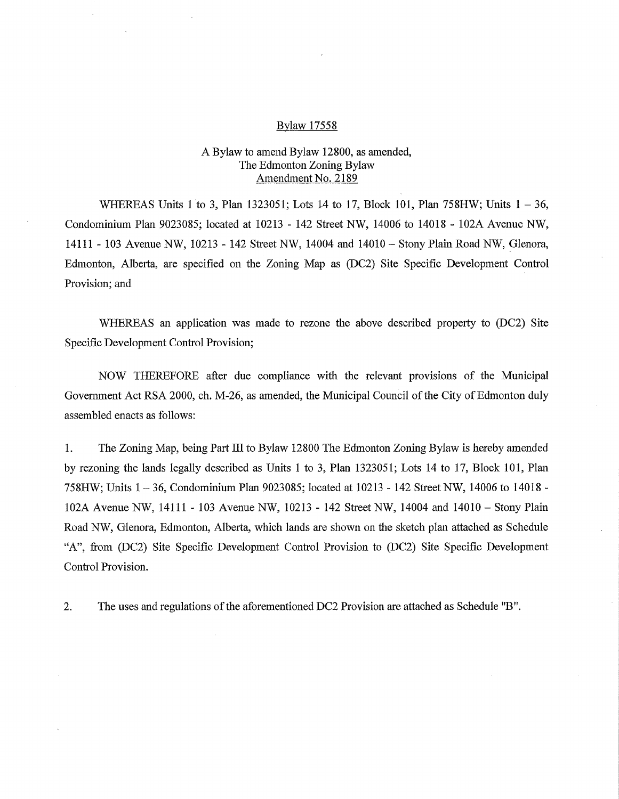#### Bylaw 17558

## A Bylaw to amend Bylaw 12800, as amended, The Edmonton Zoning Bylaw Amendment No. 2189

WHEREAS Units 1 to 3, Plan 1323051; Lots 14 to 17, Block 101, Plan 758HW; Units 1 — 36, Condominium Plan 9023085; located at 10213 - 142 Street NW, 14006 to 14018 - 102A Avenue NW, 14111 - 103 Avenue NW, 10213 - 142 Street NW, 14004 and 14010 — Stony Plain Road NW, Glenora, Edmonton, Alberta, are specified on the Zoning Map as (DC2) Site Specific Development Control Provision; and

WHEREAS an application was made to rezone the above described property to (DC2) Site Specific Development Control Provision;

NOW THEREFORE after due compliance with the relevant provisions of the Municipal Government Act RSA 2000, ch. M-26, as amended, the Municipal Council of the City of Edmonton duly assembled enacts as follows:

1. The Zoning Map, being Part III to Bylaw 12800 The Edmonton Zoning Bylaw is hereby amended by rezoning the lands legally described as Units 1 to 3, Plan 1323051; Lots 14 to 17, Block 101, Plan 758HW; Units 1 — 36, Condominium Plan 9023085; located at 10213 - 142 Street NW, 14006 to 14018 - 102A Avenue NW, 14111 - 103 Avenue NW, 10213 - 142 Street NW, 14004 and 14010 — Stony Plain Road NW, Glenora, Edmonton, Alberta, which lands are shown on the sketch plan attached as Schedule "A", from (DC2) Site Specific Development Control Provision to (DC2) Site Specific Development Control Provision.

2. The uses and regulations of the aforementioned DC2 Provision are attached as Schedule "B".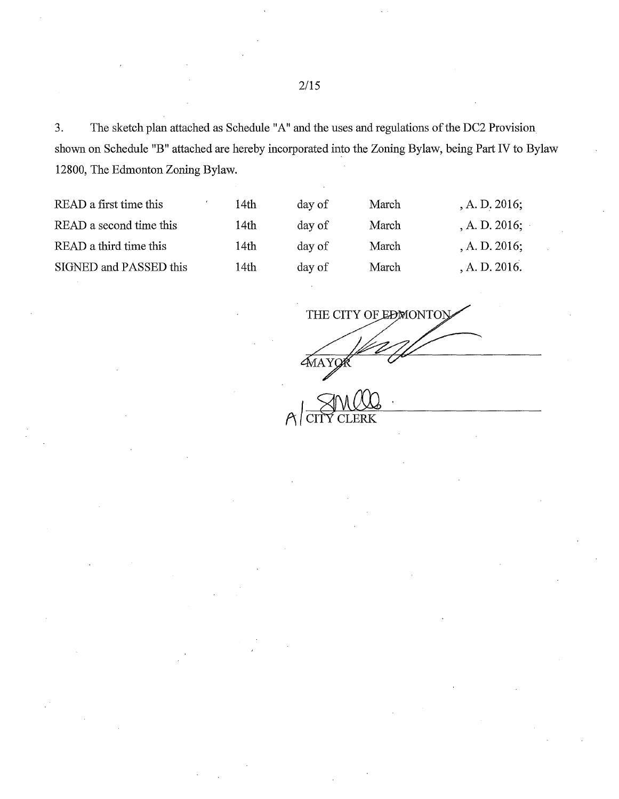3. The sketch plan attached as Schedule "A" and the uses and regulations of the DC2 Provision shown on Schedule "B" attached are hereby incorporated into the Zoning Bylaw, being Part IV to Bylaw 12800, The Edmonton Zoning Bylaw.

| READ a first time this  | 14th | day of | March | A. D. 2016;      |
|-------------------------|------|--------|-------|------------------|
| READ a second time this | 14th | day of | March | , A. D. $2016$ ; |
| READ a third time this  | 14th | day of | March | A. D. 2016;      |
| SIGNED and PASSED this  | 14th | day of | March | A. D. 2016.      |
|                         |      |        |       |                  |

THE CITY OF EDMONTOLY  $A$  $AY$ **A**<br>AMQQ ERK

2/15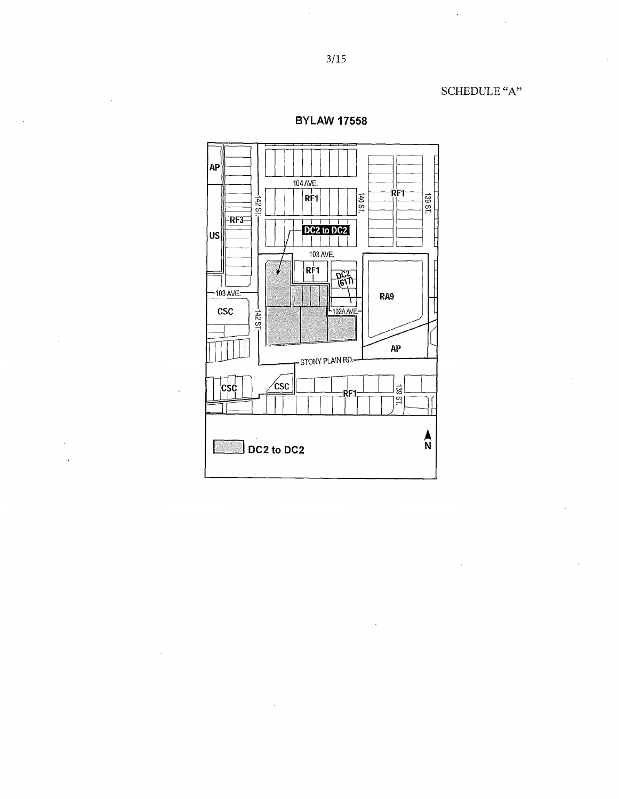SCHEDULE "A"

 $\ddot{\phantom{0}}$ 



**BYLAW 17558**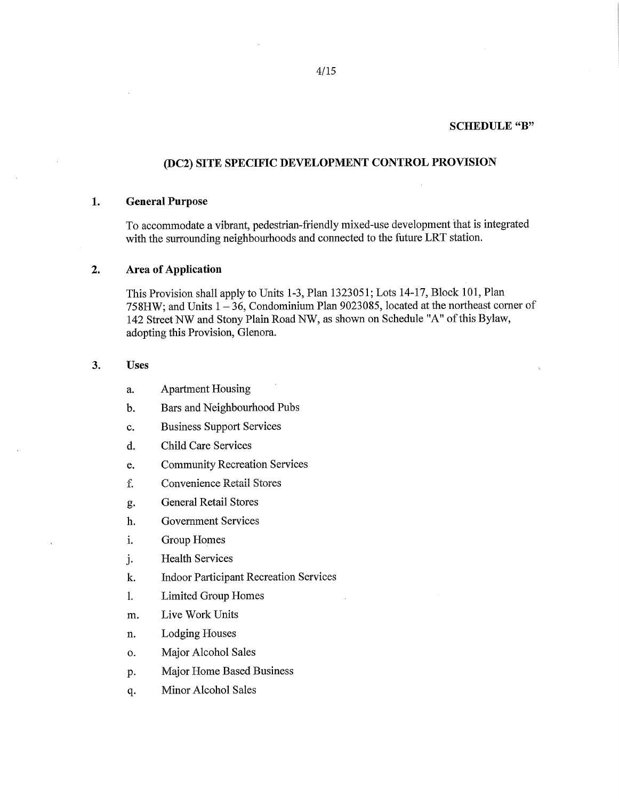#### **SCHEDULE "B"**

# **(DC2) SITE SPECIFIC DEVELOPMENT CONTROL PROVISION**

## **1. General Purpose**

To accommodate a vibrant, pedestrian-friendly mixed-use development that is integrated with the surrounding neighbourhoods and connected to the future LRT station.

### **2. Area of Application**

This Provision shall apply to Units 1-3, Plan 1323051; Lots 14-17, Block 101, Plan 758HW; and Units  $1 - 36$ , Condominium Plan 9023085, located at the northeast corner of 142 Street NW and Stony Plain Road NW, as shown on Schedule "A" of this Bylaw, adopting this Provision, Glenora.

### **3. Uses**

a. Apartment Housing

b. Bars and Neighbourhood Pubs

c. Business Support Services

d. Child Care Services

e. Community Recreation Services

I. Corwenienee Retail Stores

g. General Retail Stores

h. Government Services

i. Group Homes

j. Health Services

k. Indoor Participant Recreation Services

1. Limited Group Homes

m. Live Work Units

n. Lodging Houses

o. Major Alcohol Sales

P. Major Home Based Business

q. Minor Alcohol Sales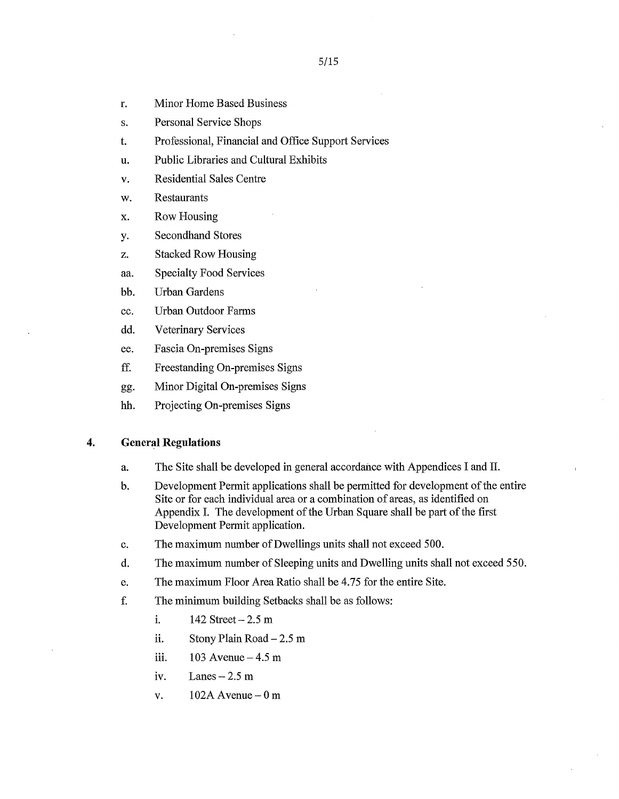- r. Minor Home Based Business
- s. Personal Service Shops
- t. Professional, Financial and Office Support Services
- u. Public Libraries and Cultural Exhibits
- v. Residential Sales Centre
- w. Restaurants
- x. Row Housing
- y. Secondhand Stores
- z. Stacked Row Housing
- aa. Specialty Food Services
- bb. Urban Gardens
- cc. Urban Outdoor Farms
- dd. Veterinary Services
- ee. Fascia On-premises Signs
- ff. Freestanding On-premises Signs
- gg. Minor Digital On-premises Signs
- hh. Projecting On-premises Signs

### 4. General Regulations

- a. The Site shall be developed in general accordance with Appendices I and II.
- b. Development Permit applications shall be permitted for development of the entire Site or for each individual area or a combination of areas, as identified on Appendix I. The development of the Urban Square shall be part of the first Development Permit application.
- c. The maximum number of Dwellings units shall not exceed 500.
- d. The maximum number of Sleeping units and Dwelling units shall not exceed 550.
- e. The maximum Floor Area Ratio shall be 4.75 for the entire Site.
- f. The minimum building Setbacks shall be as follows:
	- i. 142 Street 2.5 m
	- ii. Stony Plain Road — 2.5 m
	- 103 Avenue 4.5 m iii.
	- iv. Lanes  $-2.5$  m
	- v.  $102A$  Avenue  $-0$  m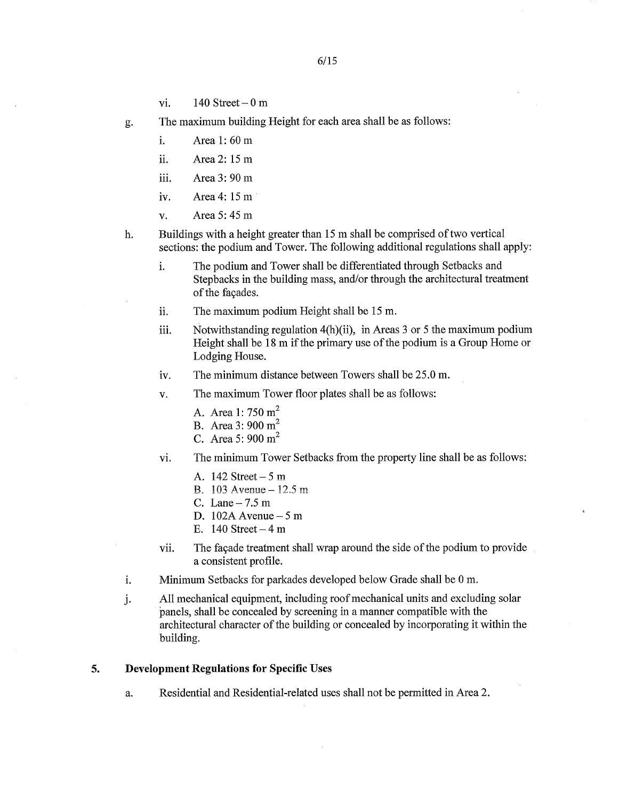- vi.  $140$  Street  $-0$  m
- g. The maximum building Height for each area shall be as follows:
	- i. Area 1: 60 m
	- ii. Area 2: 15 m
	- iii. Area 3: 90 m
	- iv. Area 4: 15 m
	- v. Area 5: 45 m
- h. Buildings with a height greater than 15 m shall be comprised of two vertical sections: the podium and Tower. The following additional regulations shall apply:
	- i. The podium and Tower shall be differentiated through Setbacks and Stepbacks in the building mass, and/or through the architectural treatment of the facades.
	- The maximum podium Height shall be 15 m. ii.
	- Notwithstanding regulation 4(h)(ii), in Areas 3 or 5 the maximum podium iii. Height shall be 18 m if the primary use of the podium is a Group Home or Lodging House.
	- iv. The minimum distance between Towers shall be 25.0 m.
	- v. The maximum Tower floor plates shall be as follows:
		- A. Area 1: 750  $m^2$
		- B. Area 3: 900 m<sup>2</sup>
		- C. Area 5: 900 m<sup>2</sup>
	- vi. The minimum Tower Setbacks from the property line shall be as follows:
		- A. 142 Street 5 m
		- B.  $103$  Avenue  $-12.5$  m
		- C. Lane  $-7.5$  m
		- D. 102A Avenue 5 m
		- E. 140 Street  $-4$  m
	- vii. The façade treatment shall wrap around the side of the podium to provide a consistent profile.
- Minimum Setbacks for parkades developed below Grade shall be 0 m. i.
- j. All mechanical equipment, including roof mechanical units and excluding solar 'panels, shall be concealed by screening in a manner compatible with the architectural character of the building or concealed by incorporating it within the building.

# 5. Development Regulations for Specific Uses

a. Residential and Residential-related uses shall not be permitted in Area 2.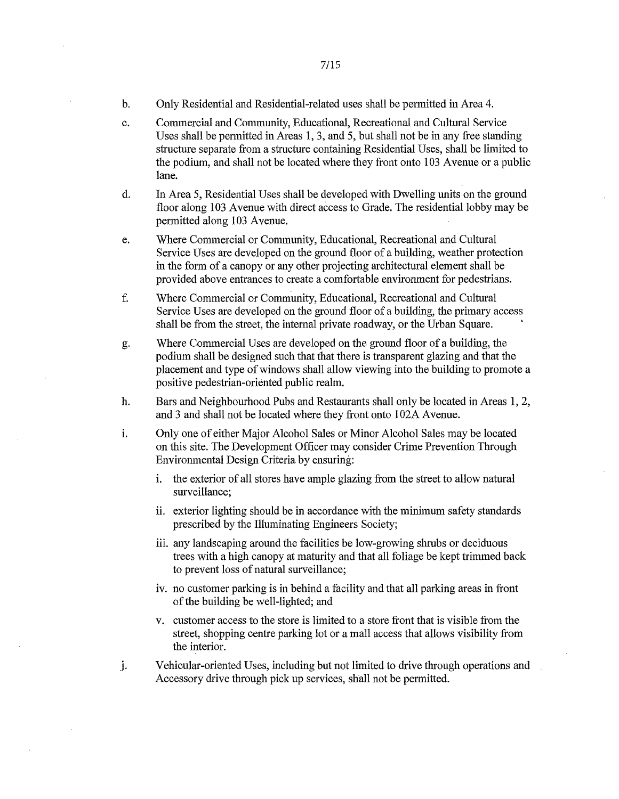- b. Only Residential and Residential-related uses shall be permitted in Area 4.
- c. Commercial and Community, Educational, Recreational and Cultural Service Uses shall be permitted in Areas 1, 3, and 5, but shall not be in any free standing structure separate from a structure containing Residential Uses, shall be limited to the podium, and shall not be located where they front onto 103 Avenue or a public lane.
- d. In Area 5, Residential Uses shall be developed with Dwelling units on the ground floor along 103 Avenue with direct access to Grade. The residential lobby may be permitted along 103 Avenue.
- e. Where Commercial or Community, Educational, Recreational and Cultural Service Uses are developed on the ground floor of a building, weather protection in the form of a canopy or any other projecting architectural element shall be provided above entrances to create a comfortable environment for pedestrians.
- f. Where Commercial or Community, Educational, Recreational and Cultural Service Uses are developed on the ground floor of a building, the primary access shall be from the street, the internal private roadway, or the Urban Square.
- g. Where Commercial Uses are developed on the ground floor of a building, the podium shall be designed such that that there is transparent glazing and that the placement and type of windows shall allow viewing into the building to promote a positive pedestrian-oriented public realm.
- h. Bars and Neighbourhood Pubs and Restaurants shall only be located in Areas 1, 2, and 3 and shall not be located where they front onto 102A Avenue.
- Only one of either Major Alcohol Sales or Minor Alcohol Sales may be located i. on this site. The Development Officer may consider Crime Prevention Through Environmental Design Criteria by ensuring:
	- i. the exterior of all stores have ample glazing from the street to allow natural surveillance;
	- ii. exterior lighting should be in accordance with the minimum safety standards prescribed by the Illuminating Engineers Society;
	- iii. any landscaping around the facilities be low-growing shrubs or deciduous trees with a high canopy at maturity and that all foliage be kept trimmed back to prevent loss of natural surveillance;
	- iv. no customer parking is in behind a facility and that all parking areas in front of the building be well-lighted; and
	- v. customer access to the store is limited to a store front that is visible from the street, shopping centre parking lot or a mall access that allows visibility from the interior.
- j. Vehicular-oriented Uses, including but not limited to drive through operations and Accessory drive through pick up services, shall not be permitted.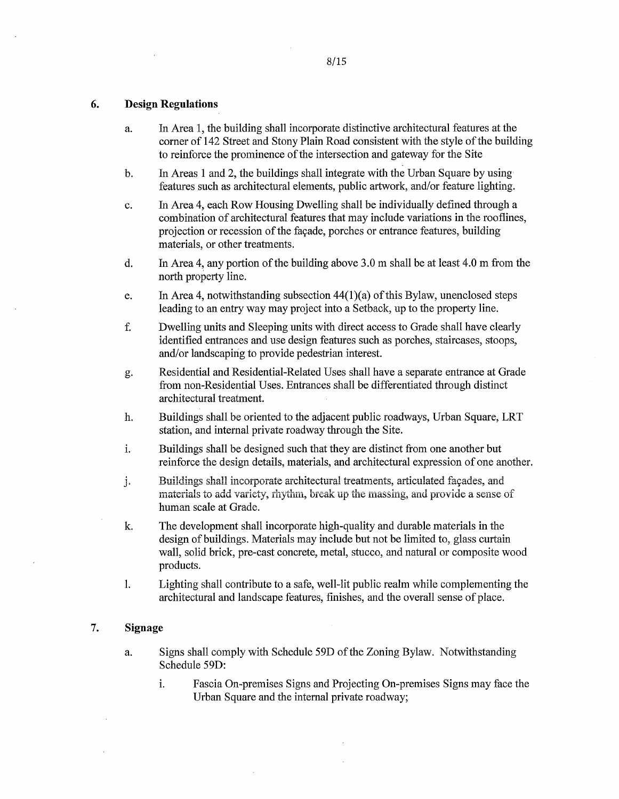### **6. Design Regulations**

- a. In Area 1, the building shall incorporate distinctive architectural features at the corner of 142 Street and Stony Plain Road consistent with the style of the building to reinforce the prominence of the intersection and gateway for the Site
- b. In Areas 1 and 2, the buildings shall integrate with the Urban Square by using features such as architectural elements, public artwork, and/or feature lighting.
- c. In Area 4, each Row Housing Dwelling shall be individually defined through a combination of architectural features that may include variations in the rooflines, projection or recession of the façade, porches or entrance features, building materials, or other treatments.
- d. In Area 4, any portion of the building above 3.0 m shall be at least 4.0 m from the north property line.
- e. In Area 4, notwithstanding subsection 44(1)(a) of this Bylaw, unenclosed steps leading to an entry way may project into a Setback, up to the property line.
- f. Dwelling units and Sleeping units with direct access to Grade shall have clearly identified entrances and use design features such as porches, staircases, stoops, and/or landscaping to provide pedestrian interest.
- g. Residential and Residential-Related Uses shall have a separate entrance at Grade from non-Residential Uses. Entrances shall be differentiated through distinct architectural treatment.
- h. Buildings shall be oriented to the adjacent public roadways, Urban Square, LRT station, and internal private roadway through the Site.
- i. Buildings shall be designed such that they are distinct from one another but reinforce the design details, materials, and architectural expression of one another.
- Buildings shall incorporate architectural treatments, articulated façades, and j. materials to add variety, rhythm, break up the massing, and provide a sense of human scale at Grade.
- k. The development shall incorporate high-quality and durable materials in the design of buildings. Materials may include but not be limited to, glass curtain wall, solid brick, pre-cast concrete, metal, stucco, and natural or composite wood products.
- 1. Lighting shall contribute to a safe, well-lit public realm while complementing the architectural and landscape features, fmishes, and the overall sense of place.

# **7. Signage**

- a. Signs shall comply with Schedule 59D of the Zoning Bylaw. Notwithstanding Schedule 59D:
	- i. Fascia On-premises Signs and Projecting On-premises Signs may face the Urban Square and the internal private roadway;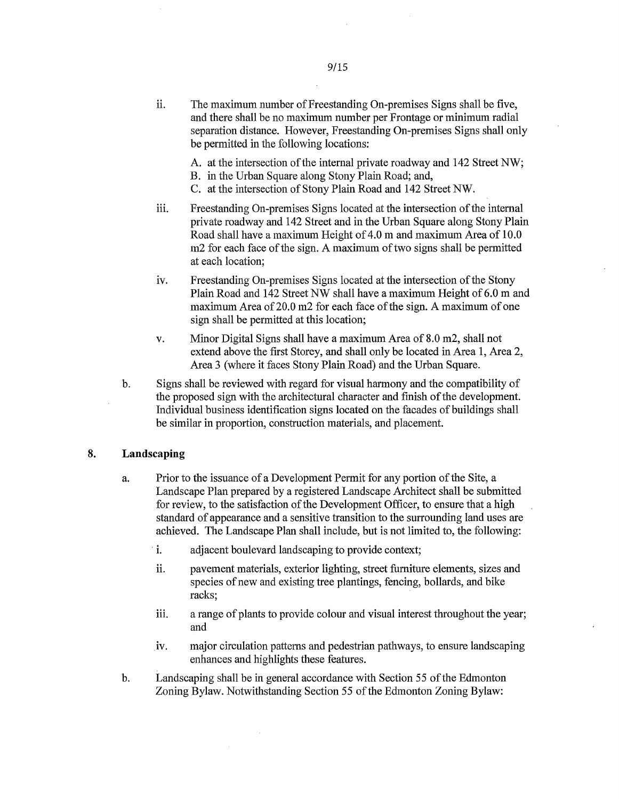ii. The maximum number of Freestanding On-premises Signs shall be five, and there shall be no maximum number per Frontage or minimum radial separation distance. However, Freestanding On-premises Signs shall only be permitted in the following locations:

A. at the intersection of the internal private roadway and 142 Street NW;

- B. in the Urban Square along Stony Plain Road; and,
- C. at the intersection of Stony Plain Road and 142 Street NW.
- Freestanding On-premises Signs located at the intersection of the internal iii. private roadway and 142 Street and in the Urban Square along Stony Plain Road shall have a maximum Height of 4.0 m and maximum Area of 10.0 m2 for each face of the sign. A maximum of two signs shall be permitted at each location;
- iv. Freestanding On-premises Signs located at the intersection of the Stony Plain Road and 142 Street NW shall have a maximum Height of 6.0 m and maximum Area of 20.0 m2 for each face of the sign. A maximum of one sign shall be permitted at this location;
- v. Minor Digital Signs shall have a maximum Area of 8.0 m2, shall not extend above the first Storey, and shall only be located in Area 1, Area 2, Area 3 (where it faces Stony Plain Road) and the Urban Square.
- b. Signs shall be reviewed with regard for visual harmony and the compatibility of the proposed sign with the architectural character and fmish of the development. Individual business identification signs located on the facades of buildings shall be similar in proportion, construction materials, and placement.

### 8. Landscaping

- a. Prior to the issuance of a Development Permit for any portion of the Site, a Landscape Plan prepared by a registered Landscape Architect shall be submitted for review, to the satisfaction of the Development Officer, to ensure that a high standard of appearance and a sensitive transition to the surrounding land uses are achieved. The Landscape Plan shall include, but is not limited to, the following:
	- i. adjacent boulevard landscaping to provide context;
	- ii. pavement materials, exterior lighting, street furniture elements, sizes and species of new and existing tree plantings, fencing, bollards, and bike racks;
	- iii. a range of plants to provide colour and visual interest throughout the year; and
	- iv. major circulation patterns and pedestrian pathways, to ensure landscaping enhances and highlights these features.
- b. Landscaping shall be in general accordance with Section 55 of the Edmonton Zoning Bylaw. Notwithstanding Section 55 of the Edmonton Zoning Bylaw: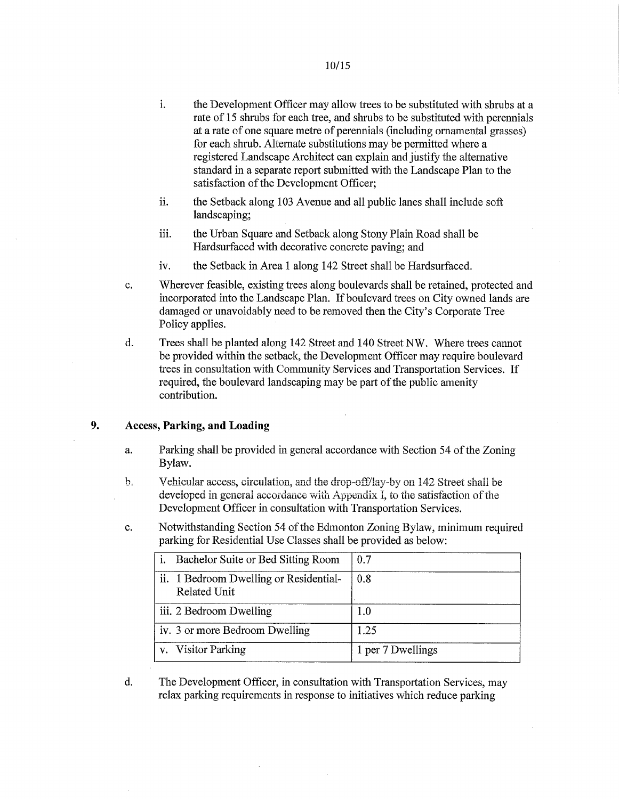- i. the Development Officer may allow trees to be substituted with shrubs at a rate of 15 shrubs for each tree, and shrubs to be substituted with perennials at a rate of one square metre of perennials (including ornamental grasses) for each shrub. Alternate substitutions may be permitted where a registered Landscape Architect can explain and justify the alternative standard in a separate report submitted with the Landscape Plan to the satisfaction of the Development Officer;
- ii. the Setback along 103 Avenue and all public lanes shall include soft landscaping;
- the Urban Square and Setback along Stony Plain Road shall be iii. Hardsurfaced with decorative concrete paving; and
- iv. the Setback in Area 1 along 142 Street shall be Hardsurfaced.
- c. Wherever feasible, existing trees along boulevards shall be retained, protected and incorporated into the Landscape Plan. If boulevard trees on City owned lands are damaged or unavoidably need to be removed then the City's Corporate Tree Policy applies.
- d. Trees shall be planted along 142 Street and 140 Street NW. Where trees cannot be provided within the setback, the Development Officer may require boulevard trees in consultation with Community Services and Transportation Services. If required, the boulevard landscaping may be part of the public amenity contribution.

### 9. Access, Parking, and Loading

- a. Parking shall be provided in general accordance with Section 54 of the Zoning Bylaw.
- b. Vehicular access, circulation, and the drop-off/lay-by on 142 Street shall be developed in general accordance with Appendix I, to the satisfaction of the Development Officer in consultation with Transportation Services.
- c. Notwithstanding Section 54 of the Edmonton Zoning Bylaw, minimum required parking for Residential Use Classes shall be provided as below:

| Bachelor Suite or Bed Sitting Room                     | 0.7               |
|--------------------------------------------------------|-------------------|
| ii. 1 Bedroom Dwelling or Residential-<br>Related Unit | 0.8               |
| iii. 2 Bedroom Dwelling                                | 1.0               |
| iv. 3 or more Bedroom Dwelling                         | 1.25              |
| v. Visitor Parking                                     | 1 per 7 Dwellings |

d. The Development Officer, in consultation with Transportation Services, may relax parking requirements in response to initiatives which reduce parking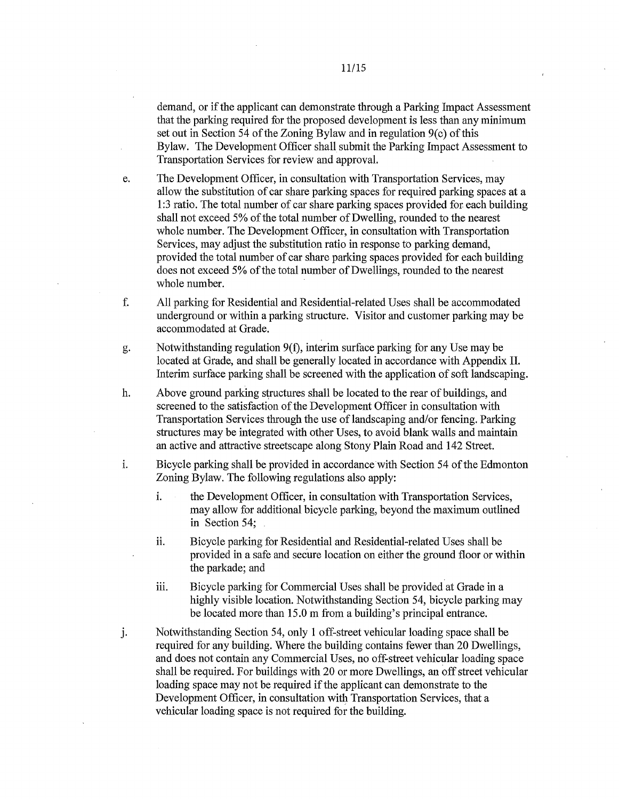demand, or if the applicant can demonstrate through a Parking Impact Assessment that the parking required for the proposed development is less than any minimum set out in Section 54 of the Zoning Bylaw and in regulation 9(c) of this Bylaw. The Development Officer shall submit the Parking Impact Assessment to Transportation Services for review and approval.

e. The Development Officer, in consultation with Transportation Services, may allow the substitution of car share parking spaces for required parking spaces at a 1:3 ratio. The total number of car share parking spaces provided for each building shall not exceed 5% of the total number of Dwelling, rounded to the nearest whole number. The Development Officer, in consultation with Transportation Services, may adjust the substitution ratio in response to parking demand, provided the total number of car share parking spaces provided for each building does not exceed 5% of the total number of Dwellings, rounded to the nearest whole number.

f. All parking for Residential and Residential-related Uses shall be accommodated underground or within a parking structure. Visitor and customer parking may be accommodated at Grade.

g. Notwithstanding regulation 9(f), interim surface parking for any Use may be located at Grade, and shall be generally located in accordance with Appendix II. Interim surface parking shall be screened with the application of soft landscaping.

h. Above ground parking structures shall be located to the rear of buildings, and screened to the satisfaction of the Development Officer in consultation with Transportation Services through the use of landscaping and/or fencing. Parking structures may be integrated with other Uses, to avoid blank walls and maintain an active and attractive streetscape along Stony Plain Road and 142 Street.

Bicycle parking shall be provided in accordance with Section 54 of the Edmonton i. Zoning Bylaw. The following regulations also apply:

- i. the Development Officer, in consultation with Transportation Services, may allow for additional bicycle parking, beyond the maximum outlined in Section 54;
- Bicycle parking for Residential and Residential-related Uses shall be ii. provided in a safe and secure location on either the ground floor or within the parkade; and
- iii. Bicycle parking for Commercial Uses shall be provided at Grade in a highly visible location. Notwithstanding Section 54, bicycle parking may be located more than 15.0 m from a building's principal entrance.
- j. Notwithstanding Section 54, only 1 off-street vehicular loading space shall be required for any building. Where the building contains fewer than 20 Dwellings, and does not contain any Commercial Uses, no off-street vehicular loading space shall be required. For buildings with 20 or more Dwellings, an off street vehicular loading space may not be required if the applicant can demonstrate to the Development Officer, in consultation with Transportation Services, that a vehicular loading space is not required for the building.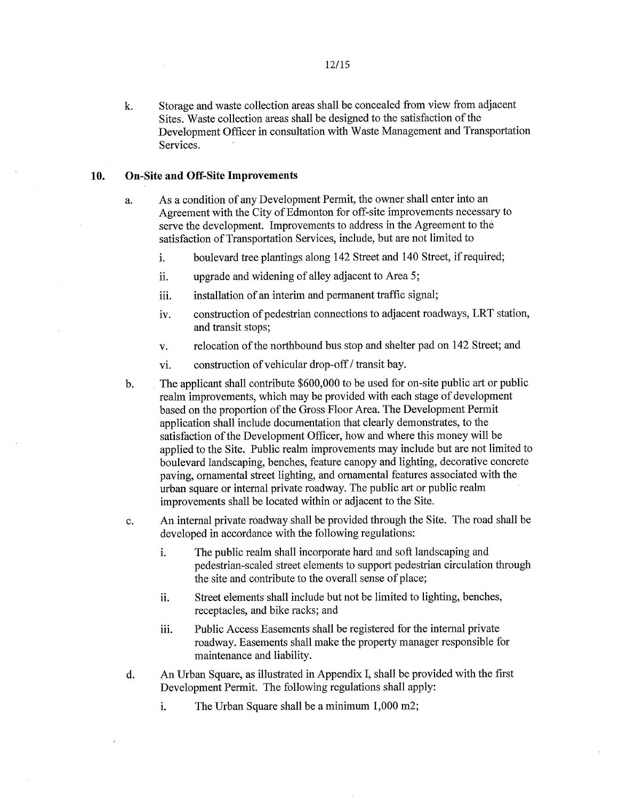k. Storage and waste collection areas shall be concealed from view from adjacent Sites. Waste collection areas shall be designed to the satisfaction of the Development Officer in consultation with Waste Management and Transportation Services.

### **10. On-Site and Off-Site Improvements**

- a. As a condition of any Development Permit, the owner shall enter into an Agreement with the City of Edmonton for off-site improvements necessary to serve the development. Improvements to address in the Agreement to the satisfaction of Transportation Services, include, but are not limited to
	- i. boulevard tree plantings along 142 Street and 140 Street, if required;
	- ii. upgrade and widening of alley adjacent to Area 5;
	- iii. installation of an interim and permanent traffic signal;
	- iv. construction of pedestrian connections to adjacent roadways, LRT station, and transit stops;
	- v. relocation of the northbound bus stop and shelter pad on 142 Street; and
	- vi. construction of vehicular drop-off / transit bay.
- b. The applicant shall contribute \$600,000 to be used for on-site public art or public realm improvements, which may be provided with each stage of development based on the proportion of the Gross Floor Area. The Development Permit application shall include documentation that clearly demonstrates, to the satisfaction of the Development Officer, how and where this money will be applied to the Site. Public realm improvements may include but are not limited to boulevard landscaping, benches, feature canopy and lighting, decorative concrete paving, ornamental street lighting, and ornamental features associated with the urban square or internal private roadway. The public art or public realm improvements shall be located within or adjacent to the Site.
- c. An internal private roadway shall be provided through the Site. The road shall be developed in accordance with the following regulations:
	- i. The public realm shall incorporate hard and soft landscaping and pedestrian-scaled street elements to support pedestrian circulation through the site and contribute to the overall sense of place;
	- Street elements shall include but not be limited to lighting, benches, ii. receptacles, and bike racks; and
	- Public Access Easements shall be registered for the internal private iii. roadway. Easements shall make the property manager responsible for maintenance and liability.
- d. An Urban Square, as illustrated in Appendix I, shall be provided with the first Development Permit. The following regulations shall apply:
	- i. The Urban Square shall be a minimum 1,000 m2;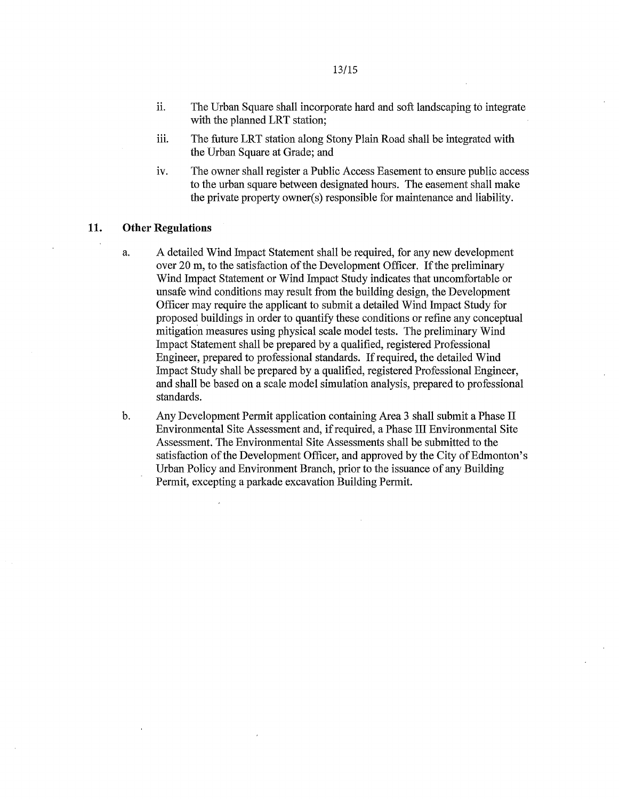- ii. The Urban Square shall incorporate hard and soft landscaping to integrate with the planned LRT station;
- iii. The future LRT station along Stony Plain Road shall be integrated with the Urban Square at Grade; and
- iv. The owner shall register a Public Access Easement to ensure public access to the urban square between designated hours. The easement shall make the private property owner(s) responsible for maintenance and liability.

## 11. Other Regulations

- a. A detailed Wind Impact Statement shall be required, for any new development over 20 m, to the satisfaction of the Development Officer. If the preliminary Wind Impact Statement or Wind Impact Study indicates that uncomfortable or unsafe wind conditions may result from the building design, the Development Officer may require the applicant to submit a detailed Wind Impact Study for proposed buildings in order to quantify these conditions or refine any conceptual mitigation measures using physical scale model tests. The preliminary Wind Impact Statement shall be prepared by a qualified, registered Professional Engineer, prepared to professional standards. If required, the detailed Wind Impact Study shall be prepared by a qualified, registered Professional Engineer, and shall be based on a scale model simulation analysis, prepared to professional standards.
- b. Any Development Permit application containing Area 3 shall submit a Phase II Environmental Site Assessment and, if required, a Phase III Environmental Site Assessment. The Environmental Site Assessments shall be submitted to the satisfaction of the Development Officer, and approved by the City of Edmonton's Urban Policy and Environment Branch, prior to the issuance of any Building Permit, excepting a parkade excavation Building Permit.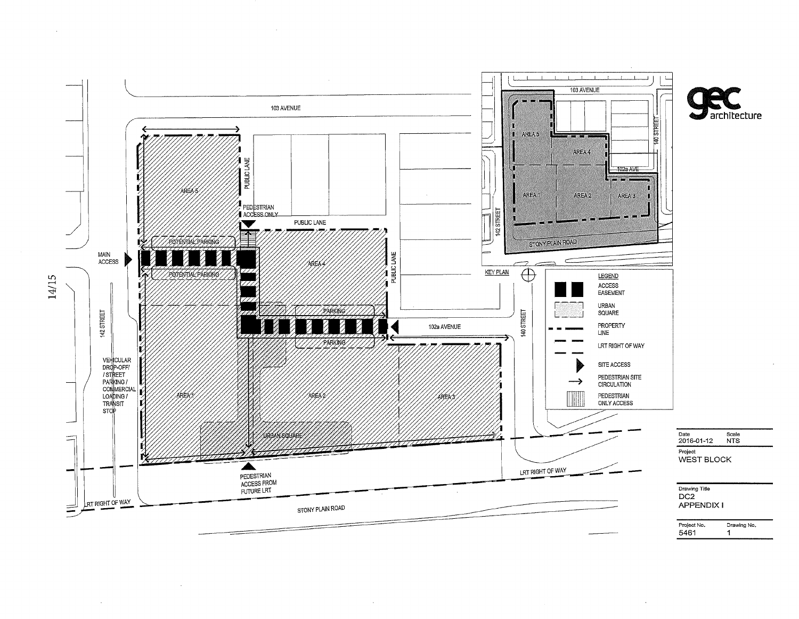